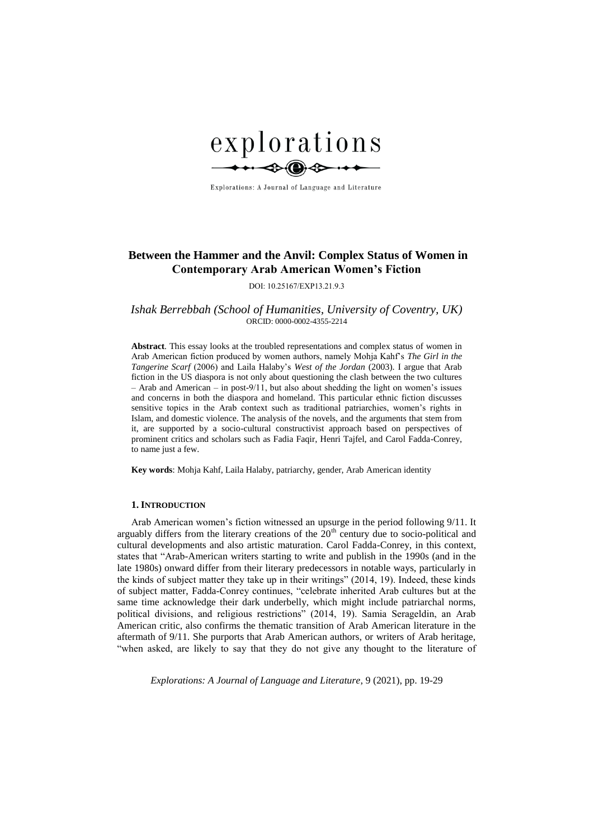

Explorations: A Journal of Language and Literature

# **Between the Hammer and the Anvil: Complex Status of Women in Contemporary Arab American Women's Fiction**

DOI: 10.25167/EXP13.21.9.3

*Ishak Berrebbah (School of Humanities, University of Coventry, UK)* ORCID: 0000-0002-4355-2214

**Abstract***.* This essay looks at the troubled representations and complex status of women in Arab American fiction produced by women authors, namely Mohja Kahf's *The Girl in the Tangerine Scarf* (2006) and Laila Halaby's *West of the Jordan* (2003). I argue that Arab fiction in the US diaspora is not only about questioning the clash between the two cultures – Arab and American – in post-9/11, but also about shedding the light on women's issues and concerns in both the diaspora and homeland. This particular ethnic fiction discusses sensitive topics in the Arab context such as traditional patriarchies, women's rights in Islam, and domestic violence. The analysis of the novels, and the arguments that stem from it, are supported by a socio-cultural constructivist approach based on perspectives of prominent critics and scholars such as Fadia Faqir, Henri Tajfel, and Carol Fadda-Conrey, to name just a few.

**Key words**: Mohja Kahf, Laila Halaby, patriarchy, gender, Arab American identity

#### **1. INTRODUCTION**

Arab American women's fiction witnessed an upsurge in the period following 9/11. It arguably differs from the literary creations of the  $20<sup>th</sup>$  century due to socio-political and cultural developments and also artistic maturation. Carol Fadda-Conrey, in this context, states that "Arab-American writers starting to write and publish in the 1990s (and in the late 1980s) onward differ from their literary predecessors in notable ways, particularly in the kinds of subject matter they take up in their writings" (2014, 19). Indeed, these kinds of subject matter, Fadda-Conrey continues, "celebrate inherited Arab cultures but at the same time acknowledge their dark underbelly, which might include patriarchal norms, political divisions, and religious restrictions" (2014, 19). Samia Serageldin, an Arab American critic, also confirms the thematic transition of Arab American literature in the aftermath of 9/11. She purports that Arab American authors, or writers of Arab heritage, "when asked, are likely to say that they do not give any thought to the literature of

*Explorations: A Journal of Language and Literature*, 9 (2021), pp. 19-29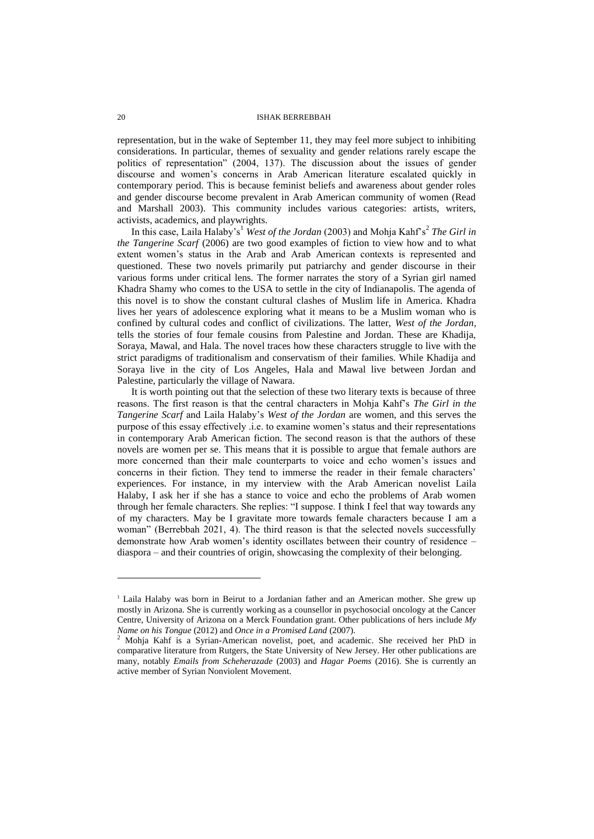### 20 ISHAK BERREBBAH

representation, but in the wake of September 11, they may feel more subject to inhibiting considerations. In particular, themes of sexuality and gender relations rarely escape the politics of representation" (2004, 137). The discussion about the issues of gender discourse and women's concerns in Arab American literature escalated quickly in contemporary period. This is because feminist beliefs and awareness about gender roles and gender discourse become prevalent in Arab American community of women (Read and Marshall 2003). This community includes various categories: artists, writers, activists, academics, and playwrights.

In this case, Laila Halaby's<sup>1</sup> West of the Jordan (2003) and Mohja Kahf's<sup>2</sup> The Girl in *the Tangerine Scarf* (2006) are two good examples of fiction to view how and to what extent women's status in the Arab and Arab American contexts is represented and questioned. These two novels primarily put patriarchy and gender discourse in their various forms under critical lens. The former narrates the story of a Syrian girl named Khadra Shamy who comes to the USA to settle in the city of Indianapolis. The agenda of this novel is to show the constant cultural clashes of Muslim life in America. Khadra lives her years of adolescence exploring what it means to be a Muslim woman who is confined by cultural codes and conflict of civilizations. The latter, *West of the Jordan*, tells the stories of four female cousins from Palestine and Jordan. These are Khadija, Soraya, Mawal, and Hala. The novel traces how these characters struggle to live with the strict paradigms of traditionalism and conservatism of their families. While Khadija and Soraya live in the city of Los Angeles, Hala and Mawal live between Jordan and Palestine, particularly the village of Nawara.

It is worth pointing out that the selection of these two literary texts is because of three reasons. The first reason is that the central characters in Mohja Kahf's *The Girl in the Tangerine Scarf* and Laila Halaby's *West of the Jordan* are women, and this serves the purpose of this essay effectively .i.e. to examine women's status and their representations in contemporary Arab American fiction. The second reason is that the authors of these novels are women per se. This means that it is possible to argue that female authors are more concerned than their male counterparts to voice and echo women's issues and concerns in their fiction. They tend to immerse the reader in their female characters' experiences. For instance, in my interview with the Arab American novelist Laila Halaby, I ask her if she has a stance to voice and echo the problems of Arab women through her female characters. She replies: "I suppose. I think I feel that way towards any of my characters. May be I gravitate more towards female characters because I am a woman" (Berrebbah 2021, 4). The third reason is that the selected novels successfully demonstrate how Arab women's identity oscillates between their country of residence – diaspora – and their countries of origin, showcasing the complexity of their belonging.

l

<sup>1</sup> Laila Halaby was born in Beirut to a Jordanian father and an American mother. She grew up mostly in Arizona. She is currently working as a counsellor in psychosocial oncology at the Cancer Centre, University of Arizona on a Merck Foundation grant. Other publications of hers include *My Name on his Tongue* (2012) and *Once in a Promised Land* (2007).

 $2$  Mohja Kahf is a Syrian-American novelist, poet, and academic. She received her PhD in comparative literature from Rutgers, the State University of New Jersey. Her other publications are many, notably *Emails from Scheherazade* (2003) and *Hagar Poems* (2016). She is currently an active member of Syrian Nonviolent Movement.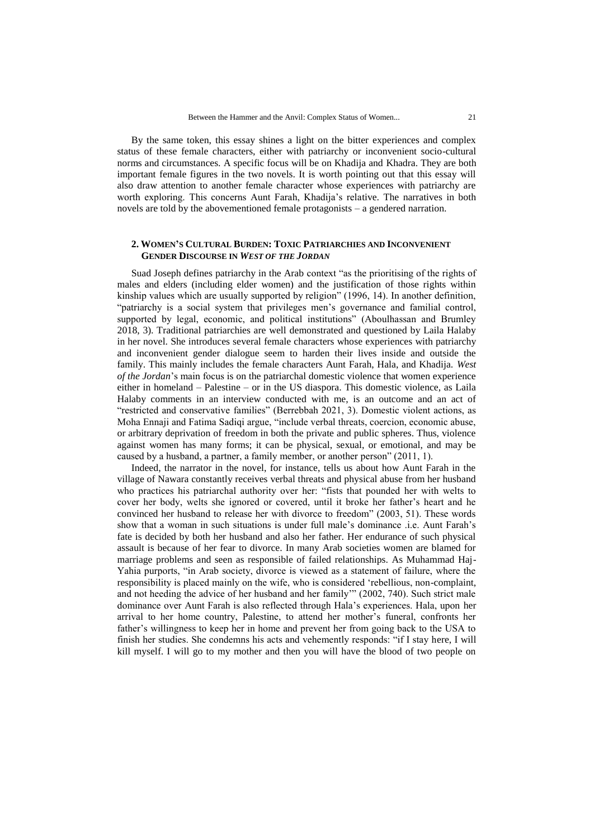By the same token, this essay shines a light on the bitter experiences and complex status of these female characters, either with patriarchy or inconvenient socio-cultural norms and circumstances. A specific focus will be on Khadija and Khadra. They are both important female figures in the two novels. It is worth pointing out that this essay will also draw attention to another female character whose experiences with patriarchy are worth exploring. This concerns Aunt Farah, Khadija's relative. The narratives in both novels are told by the abovementioned female protagonists – a gendered narration.

# **2. WOMEN'S CULTURAL BURDEN: TOXIC PATRIARCHIES AND INCONVENIENT GENDER DISCOURSE IN** *WEST OF THE JORDAN*

Suad Joseph defines patriarchy in the Arab context "as the prioritising of the rights of males and elders (including elder women) and the justification of those rights within kinship values which are usually supported by religion" (1996, 14). In another definition, "patriarchy is a social system that privileges men's governance and familial control, supported by legal, economic, and political institutions" (Aboulhassan and Brumley 2018, 3). Traditional patriarchies are well demonstrated and questioned by Laila Halaby in her novel. She introduces several female characters whose experiences with patriarchy and inconvenient gender dialogue seem to harden their lives inside and outside the family. This mainly includes the female characters Aunt Farah, Hala, and Khadija. *West of the Jordan*'s main focus is on the patriarchal domestic violence that women experience either in homeland – Palestine – or in the US diaspora. This domestic violence, as Laila Halaby comments in an interview conducted with me, is an outcome and an act of "restricted and conservative families" (Berrebbah 2021, 3). Domestic violent actions, as Moha Ennaji and Fatima Sadiqi argue, "include verbal threats, coercion, economic abuse, or arbitrary deprivation of freedom in both the private and public spheres. Thus, violence against women has many forms; it can be physical, sexual, or emotional, and may be caused by a husband, a partner, a family member, or another person" (2011, 1).

Indeed, the narrator in the novel, for instance, tells us about how Aunt Farah in the village of Nawara constantly receives verbal threats and physical abuse from her husband who practices his patriarchal authority over her: "fists that pounded her with welts to cover her body, welts she ignored or covered, until it broke her father's heart and he convinced her husband to release her with divorce to freedom" (2003, 51). These words show that a woman in such situations is under full male's dominance .i.e. Aunt Farah's fate is decided by both her husband and also her father. Her endurance of such physical assault is because of her fear to divorce. In many Arab societies women are blamed for marriage problems and seen as responsible of failed relationships. As Muhammad Haj-Yahia purports, "in Arab society, divorce is viewed as a statement of failure, where the responsibility is placed mainly on the wife, who is considered 'rebellious, non-complaint, and not heeding the advice of her husband and her family'" (2002, 740). Such strict male dominance over Aunt Farah is also reflected through Hala's experiences. Hala, upon her arrival to her home country, Palestine, to attend her mother's funeral, confronts her father's willingness to keep her in home and prevent her from going back to the USA to finish her studies. She condemns his acts and vehemently responds: "if I stay here, I will kill myself. I will go to my mother and then you will have the blood of two people on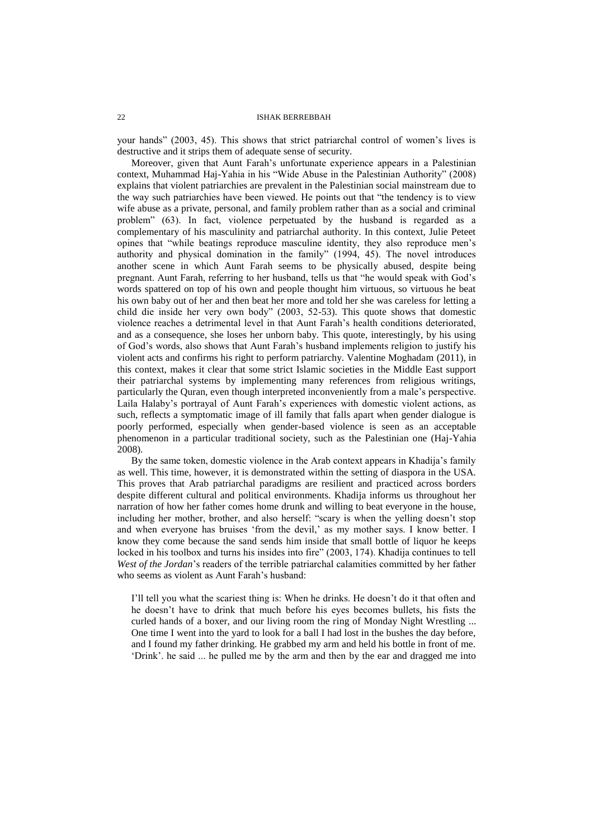your hands" (2003, 45). This shows that strict patriarchal control of women's lives is destructive and it strips them of adequate sense of security.

Moreover, given that Aunt Farah's unfortunate experience appears in a Palestinian context, Muhammad Haj-Yahia in his "Wide Abuse in the Palestinian Authority" (2008) explains that violent patriarchies are prevalent in the Palestinian social mainstream due to the way such patriarchies have been viewed. He points out that "the tendency is to view wife abuse as a private, personal, and family problem rather than as a social and criminal problem" (63). In fact, violence perpetuated by the husband is regarded as a complementary of his masculinity and patriarchal authority. In this context, Julie Peteet opines that "while beatings reproduce masculine identity, they also reproduce men's authority and physical domination in the family" (1994, 45). The novel introduces another scene in which Aunt Farah seems to be physically abused, despite being pregnant. Aunt Farah, referring to her husband, tells us that "he would speak with God's words spattered on top of his own and people thought him virtuous, so virtuous he beat his own baby out of her and then beat her more and told her she was careless for letting a child die inside her very own body" (2003, 52-53). This quote shows that domestic violence reaches a detrimental level in that Aunt Farah's health conditions deteriorated, and as a consequence, she loses her unborn baby. This quote, interestingly, by his using of God's words, also shows that Aunt Farah's husband implements religion to justify his violent acts and confirms his right to perform patriarchy. Valentine Moghadam (2011), in this context, makes it clear that some strict Islamic societies in the Middle East support their patriarchal systems by implementing many references from religious writings, particularly the Quran, even though interpreted inconveniently from a male's perspective. Laila Halaby's portrayal of Aunt Farah's experiences with domestic violent actions, as such, reflects a symptomatic image of ill family that falls apart when gender dialogue is poorly performed, especially when gender-based violence is seen as an acceptable phenomenon in a particular traditional society, such as the Palestinian one (Haj-Yahia 2008).

By the same token, domestic violence in the Arab context appears in Khadija's family as well. This time, however, it is demonstrated within the setting of diaspora in the USA. This proves that Arab patriarchal paradigms are resilient and practiced across borders despite different cultural and political environments. Khadija informs us throughout her narration of how her father comes home drunk and willing to beat everyone in the house, including her mother, brother, and also herself: "scary is when the yelling doesn't stop and when everyone has bruises 'from the devil,' as my mother says. I know better. I know they come because the sand sends him inside that small bottle of liquor he keeps locked in his toolbox and turns his insides into fire" (2003, 174). Khadija continues to tell *West of the Jordan*'s readers of the terrible patriarchal calamities committed by her father who seems as violent as Aunt Farah's husband:

I'll tell you what the scariest thing is: When he drinks. He doesn't do it that often and he doesn't have to drink that much before his eyes becomes bullets, his fists the curled hands of a boxer, and our living room the ring of Monday Night Wrestling ... One time I went into the yard to look for a ball I had lost in the bushes the day before, and I found my father drinking. He grabbed my arm and held his bottle in front of me. 'Drink'. he said ... he pulled me by the arm and then by the ear and dragged me into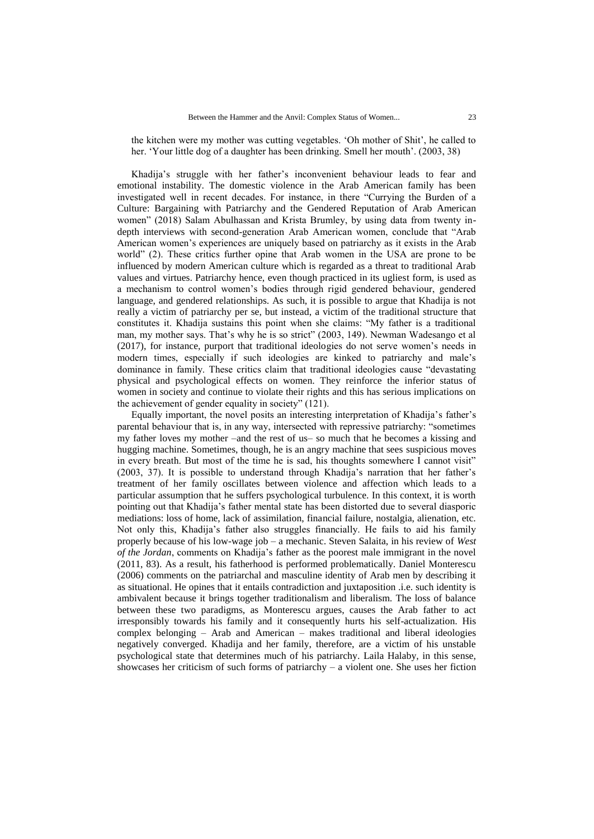the kitchen were my mother was cutting vegetables. 'Oh mother of Shit', he called to her. 'Your little dog of a daughter has been drinking. Smell her mouth'. (2003, 38)

Khadija's struggle with her father's inconvenient behaviour leads to fear and emotional instability. The domestic violence in the Arab American family has been investigated well in recent decades. For instance, in there "Currying the Burden of a Culture: Bargaining with Patriarchy and the Gendered Reputation of Arab American women" (2018) Salam Abulhassan and Krista Brumley, by using data from twenty indepth interviews with second-generation Arab American women, conclude that "Arab American women's experiences are uniquely based on patriarchy as it exists in the Arab world" (2). These critics further opine that Arab women in the USA are prone to be influenced by modern American culture which is regarded as a threat to traditional Arab values and virtues. Patriarchy hence, even though practiced in its ugliest form, is used as a mechanism to control women's bodies through rigid gendered behaviour, gendered language, and gendered relationships. As such, it is possible to argue that Khadija is not really a victim of patriarchy per se, but instead, a victim of the traditional structure that constitutes it. Khadija sustains this point when she claims: "My father is a traditional man, my mother says. That's why he is so strict" (2003, 149). Newman Wadesango et al (2017), for instance, purport that traditional ideologies do not serve women's needs in modern times, especially if such ideologies are kinked to patriarchy and male's dominance in family. These critics claim that traditional ideologies cause "devastating physical and psychological effects on women. They reinforce the inferior status of women in society and continue to violate their rights and this has serious implications on the achievement of gender equality in society" (121).

Equally important, the novel posits an interesting interpretation of Khadija's father's parental behaviour that is, in any way, intersected with repressive patriarchy: "sometimes my father loves my mother –and the rest of us– so much that he becomes a kissing and hugging machine. Sometimes, though, he is an angry machine that sees suspicious moves in every breath. But most of the time he is sad, his thoughts somewhere I cannot visit" (2003, 37). It is possible to understand through Khadija's narration that her father's treatment of her family oscillates between violence and affection which leads to a particular assumption that he suffers psychological turbulence. In this context, it is worth pointing out that Khadija's father mental state has been distorted due to several diasporic mediations: loss of home, lack of assimilation, financial failure, nostalgia, alienation, etc. Not only this, Khadija's father also struggles financially. He fails to aid his family properly because of his low-wage job – a mechanic. Steven Salaita, in his review of *West of the Jordan*, comments on Khadija's father as the poorest male immigrant in the novel (2011, 83). As a result, his fatherhood is performed problematically. Daniel Monterescu (2006) comments on the patriarchal and masculine identity of Arab men by describing it as situational. He opines that it entails contradiction and juxtaposition .i.e. such identity is ambivalent because it brings together traditionalism and liberalism. The loss of balance between these two paradigms, as Monterescu argues, causes the Arab father to act irresponsibly towards his family and it consequently hurts his self-actualization. His complex belonging – Arab and American – makes traditional and liberal ideologies negatively converged. Khadija and her family, therefore, are a victim of his unstable psychological state that determines much of his patriarchy. Laila Halaby, in this sense, showcases her criticism of such forms of patriarchy – a violent one. She uses her fiction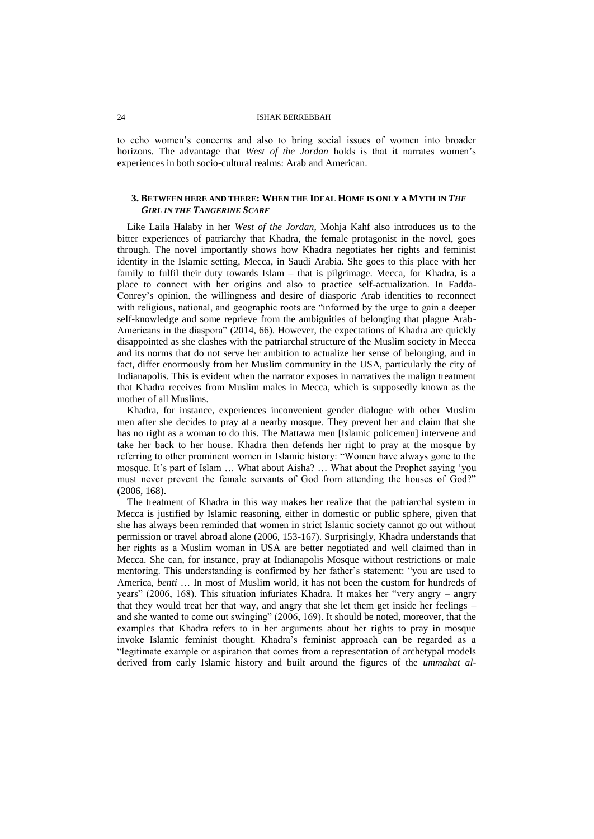### 24 ISHAK BERREBBAH

to echo women's concerns and also to bring social issues of women into broader horizons. The advantage that *West of the Jordan* holds is that it narrates women's experiences in both socio-cultural realms: Arab and American.

# **3. BETWEEN HERE AND THERE: WHEN THE IDEAL HOME IS ONLY A MYTH IN** *THE GIRL IN THE TANGERINE SCARF*

Like Laila Halaby in her *West of the Jordan*, Mohja Kahf also introduces us to the bitter experiences of patriarchy that Khadra, the female protagonist in the novel, goes through. The novel importantly shows how Khadra negotiates her rights and feminist identity in the Islamic setting, Mecca, in Saudi Arabia. She goes to this place with her family to fulfil their duty towards Islam – that is pilgrimage. Mecca, for Khadra, is a place to connect with her origins and also to practice self-actualization. In Fadda-Conrey's opinion, the willingness and desire of diasporic Arab identities to reconnect with religious, national, and geographic roots are "informed by the urge to gain a deeper self-knowledge and some reprieve from the ambiguities of belonging that plague Arab-Americans in the diaspora" (2014, 66). However, the expectations of Khadra are quickly disappointed as she clashes with the patriarchal structure of the Muslim society in Mecca and its norms that do not serve her ambition to actualize her sense of belonging, and in fact, differ enormously from her Muslim community in the USA, particularly the city of Indianapolis. This is evident when the narrator exposes in narratives the malign treatment that Khadra receives from Muslim males in Mecca, which is supposedly known as the mother of all Muslims.

Khadra, for instance, experiences inconvenient gender dialogue with other Muslim men after she decides to pray at a nearby mosque. They prevent her and claim that she has no right as a woman to do this. The Mattawa men [Islamic policemen] intervene and take her back to her house. Khadra then defends her right to pray at the mosque by referring to other prominent women in Islamic history: "Women have always gone to the mosque. It's part of Islam … What about Aisha? … What about the Prophet saying 'you must never prevent the female servants of God from attending the houses of God?" (2006, 168).

The treatment of Khadra in this way makes her realize that the patriarchal system in Mecca is justified by Islamic reasoning, either in domestic or public sphere, given that she has always been reminded that women in strict Islamic society cannot go out without permission or travel abroad alone (2006, 153-167). Surprisingly, Khadra understands that her rights as a Muslim woman in USA are better negotiated and well claimed than in Mecca. She can, for instance, pray at Indianapolis Mosque without restrictions or male mentoring. This understanding is confirmed by her father's statement: "you are used to America, *benti* … In most of Muslim world, it has not been the custom for hundreds of years" (2006, 168). This situation infuriates Khadra. It makes her "very angry – angry that they would treat her that way, and angry that she let them get inside her feelings – and she wanted to come out swinging" (2006, 169). It should be noted, moreover, that the examples that Khadra refers to in her arguments about her rights to pray in mosque invoke Islamic feminist thought. Khadra's feminist approach can be regarded as a "legitimate example or aspiration that comes from a representation of archetypal models derived from early Islamic history and built around the figures of the *ummahat al-*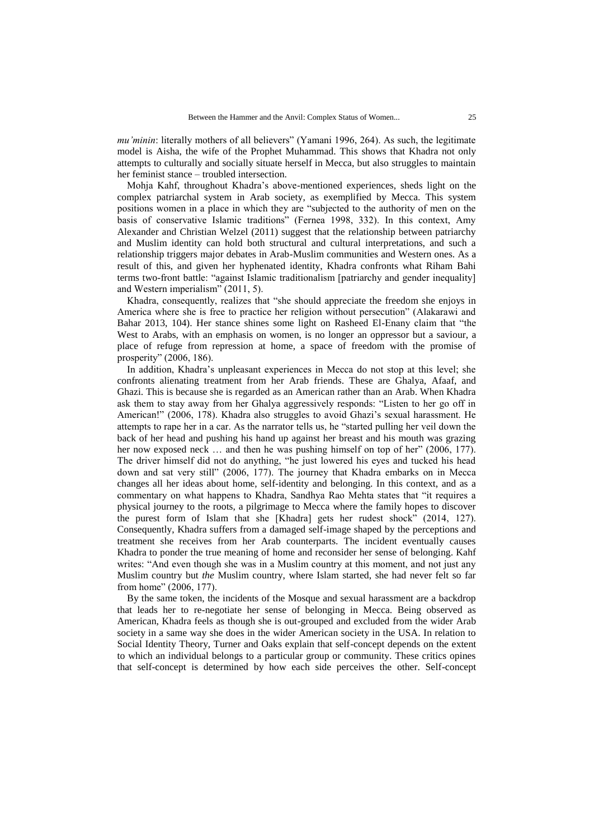*mu'minin*: literally mothers of all believers" (Yamani 1996, 264). As such, the legitimate model is Aisha, the wife of the Prophet Muhammad. This shows that Khadra not only attempts to culturally and socially situate herself in Mecca, but also struggles to maintain her feminist stance – troubled intersection.

Mohja Kahf, throughout Khadra's above-mentioned experiences, sheds light on the complex patriarchal system in Arab society, as exemplified by Mecca. This system positions women in a place in which they are "subjected to the authority of men on the basis of conservative Islamic traditions" (Fernea 1998, 332). In this context, Amy Alexander and Christian Welzel (2011) suggest that the relationship between patriarchy and Muslim identity can hold both structural and cultural interpretations, and such a relationship triggers major debates in Arab-Muslim communities and Western ones. As a result of this, and given her hyphenated identity, Khadra confronts what Riham Bahi terms two-front battle: "against Islamic traditionalism [patriarchy and gender inequality] and Western imperialism" (2011, 5).

Khadra, consequently, realizes that "she should appreciate the freedom she enjoys in America where she is free to practice her religion without persecution" (Alakarawi and Bahar 2013, 104). Her stance shines some light on Rasheed El-Enany claim that "the West to Arabs, with an emphasis on women, is no longer an oppressor but a saviour, a place of refuge from repression at home, a space of freedom with the promise of prosperity" (2006, 186).

In addition, Khadra's unpleasant experiences in Mecca do not stop at this level; she confronts alienating treatment from her Arab friends. These are Ghalya, Afaaf, and Ghazi. This is because she is regarded as an American rather than an Arab. When Khadra ask them to stay away from her Ghalya aggressively responds: "Listen to her go off in American!" (2006, 178). Khadra also struggles to avoid Ghazi's sexual harassment. He attempts to rape her in a car. As the narrator tells us, he "started pulling her veil down the back of her head and pushing his hand up against her breast and his mouth was grazing her now exposed neck ... and then he was pushing himself on top of her" (2006, 177). The driver himself did not do anything, "he just lowered his eyes and tucked his head down and sat very still" (2006, 177). The journey that Khadra embarks on in Mecca changes all her ideas about home, self-identity and belonging. In this context, and as a commentary on what happens to Khadra, Sandhya Rao Mehta states that "it requires a physical journey to the roots, a pilgrimage to Mecca where the family hopes to discover the purest form of Islam that she [Khadra] gets her rudest shock" (2014, 127). Consequently, Khadra suffers from a damaged self-image shaped by the perceptions and treatment she receives from her Arab counterparts. The incident eventually causes Khadra to ponder the true meaning of home and reconsider her sense of belonging. Kahf writes: "And even though she was in a Muslim country at this moment, and not just any Muslim country but *the* Muslim country, where Islam started, she had never felt so far from home" (2006, 177).

By the same token, the incidents of the Mosque and sexual harassment are a backdrop that leads her to re-negotiate her sense of belonging in Mecca. Being observed as American, Khadra feels as though she is out-grouped and excluded from the wider Arab society in a same way she does in the wider American society in the USA. In relation to Social Identity Theory, Turner and Oaks explain that self-concept depends on the extent to which an individual belongs to a particular group or community. These critics opines that self-concept is determined by how each side perceives the other. Self-concept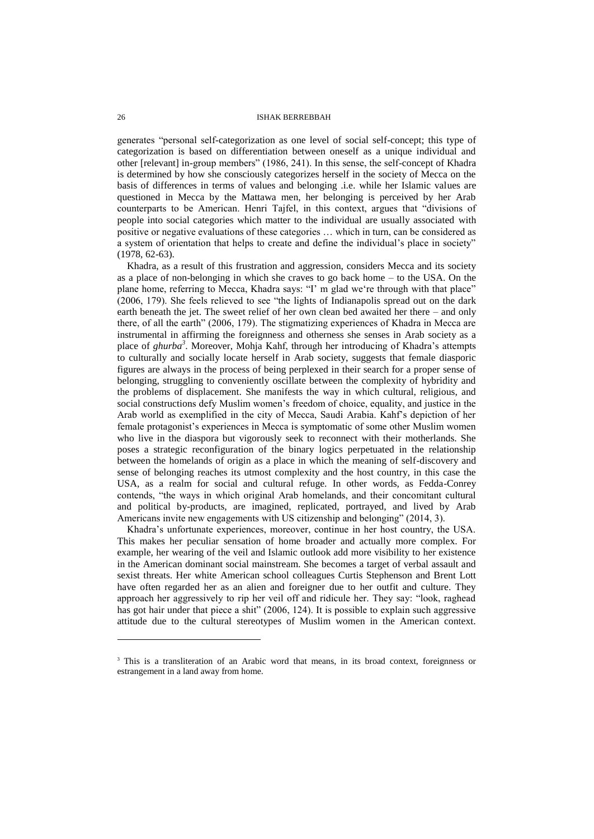generates "personal self-categorization as one level of social self-concept; this type of categorization is based on differentiation between oneself as a unique individual and other [relevant] in-group members" (1986, 241). In this sense, the self-concept of Khadra is determined by how she consciously categorizes herself in the society of Mecca on the basis of differences in terms of values and belonging .i.e. while her Islamic values are questioned in Mecca by the Mattawa men, her belonging is perceived by her Arab counterparts to be American. Henri Tajfel, in this context, argues that "divisions of people into social categories which matter to the individual are usually associated with positive or negative evaluations of these categories … which in turn, can be considered as a system of orientation that helps to create and define the individual's place in society" (1978, 62-63).

Khadra, as a result of this frustration and aggression, considers Mecca and its society as a place of non-belonging in which she craves to go back home – to the USA. On the plane home, referring to Mecca, Khadra says: "I' m glad we're through with that place" (2006, 179). She feels relieved to see "the lights of Indianapolis spread out on the dark earth beneath the jet. The sweet relief of her own clean bed awaited her there – and only there, of all the earth" (2006, 179). The stigmatizing experiences of Khadra in Mecca are instrumental in affirming the foreignness and otherness she senses in Arab society as a place of *ghurba<sup>3</sup>* . Moreover, Mohja Kahf, through her introducing of Khadra's attempts to culturally and socially locate herself in Arab society, suggests that female diasporic figures are always in the process of being perplexed in their search for a proper sense of belonging, struggling to conveniently oscillate between the complexity of hybridity and the problems of displacement. She manifests the way in which cultural, religious, and social constructions defy Muslim women's freedom of choice, equality, and justice in the Arab world as exemplified in the city of Mecca, Saudi Arabia. Kahf's depiction of her female protagonist's experiences in Mecca is symptomatic of some other Muslim women who live in the diaspora but vigorously seek to reconnect with their motherlands. She poses a strategic reconfiguration of the binary logics perpetuated in the relationship between the homelands of origin as a place in which the meaning of self-discovery and sense of belonging reaches its utmost complexity and the host country, in this case the USA, as a realm for social and cultural refuge. In other words, as Fedda-Conrey contends, "the ways in which original Arab homelands, and their concomitant cultural and political by-products, are imagined, replicated, portrayed, and lived by Arab Americans invite new engagements with US citizenship and belonging" (2014, 3).

Khadra's unfortunate experiences, moreover, continue in her host country, the USA. This makes her peculiar sensation of home broader and actually more complex. For example, her wearing of the veil and Islamic outlook add more visibility to her existence in the American dominant social mainstream. She becomes a target of verbal assault and sexist threats. Her white American school colleagues Curtis Stephenson and Brent Lott have often regarded her as an alien and foreigner due to her outfit and culture. They approach her aggressively to rip her veil off and ridicule her. They say: "look, raghead has got hair under that piece a shit" (2006, 124). It is possible to explain such aggressive attitude due to the cultural stereotypes of Muslim women in the American context.

l

<sup>&</sup>lt;sup>3</sup> This is a transliteration of an Arabic word that means, in its broad context, foreignness or estrangement in a land away from home.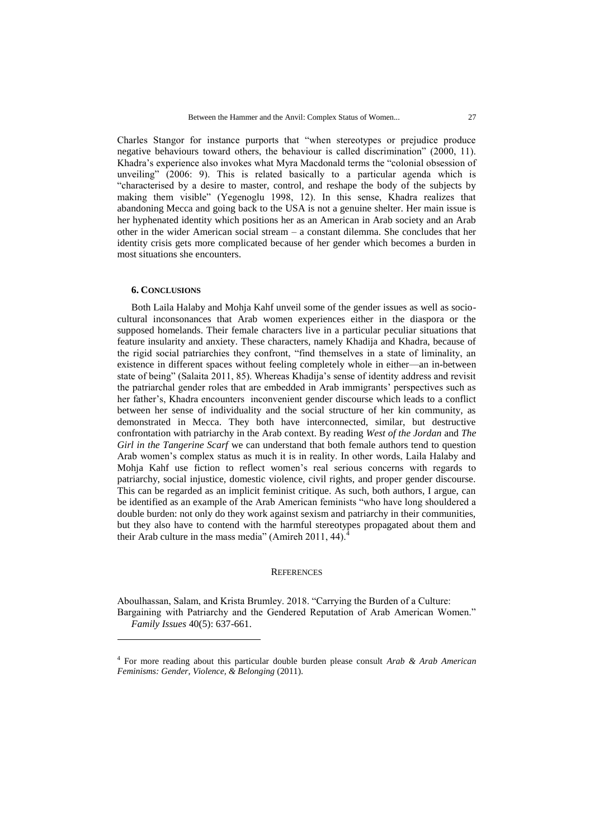Charles Stangor for instance purports that "when stereotypes or prejudice produce negative behaviours toward others, the behaviour is called discrimination" (2000, 11). Khadra's experience also invokes what Myra Macdonald terms the "colonial obsession of unveiling" (2006: 9). This is related basically to a particular agenda which is "characterised by a desire to master, control, and reshape the body of the subjects by making them visible" (Yegenoglu 1998, 12). In this sense, Khadra realizes that abandoning Mecca and going back to the USA is not a genuine shelter. Her main issue is her hyphenated identity which positions her as an American in Arab society and an Arab other in the wider American social stream – a constant dilemma. She concludes that her identity crisis gets more complicated because of her gender which becomes a burden in most situations she encounters.

# **6. CONCLUSIONS**

Both Laila Halaby and Mohja Kahf unveil some of the gender issues as well as sociocultural inconsonances that Arab women experiences either in the diaspora or the supposed homelands. Their female characters live in a particular peculiar situations that feature insularity and anxiety. These characters, namely Khadija and Khadra, because of the rigid social patriarchies they confront, "find themselves in a state of liminality, an existence in different spaces without feeling completely whole in either—an in-between state of being" (Salaita 2011, 85). Whereas Khadija's sense of identity address and revisit the patriarchal gender roles that are embedded in Arab immigrants' perspectives such as her father's, Khadra encounters inconvenient gender discourse which leads to a conflict between her sense of individuality and the social structure of her kin community, as demonstrated in Mecca. They both have interconnected, similar, but destructive confrontation with patriarchy in the Arab context. By reading *West of the Jordan* and *The Girl in the Tangerine Scarf* we can understand that both female authors tend to question Arab women's complex status as much it is in reality. In other words, Laila Halaby and Mohja Kahf use fiction to reflect women's real serious concerns with regards to patriarchy, social injustice, domestic violence, civil rights, and proper gender discourse. This can be regarded as an implicit feminist critique. As such, both authors, I argue, can be identified as an example of the Arab American feminists "who have long shouldered a double burden: not only do they work against sexism and patriarchy in their communities, but they also have to contend with the harmful stereotypes propagated about them and their Arab culture in the mass media" (Amireh 2011, 44).<sup>4</sup>

#### **REFERENCES**

Aboulhassan, Salam, and Krista Brumley. 2018. "Carrying the Burden of a Culture: Bargaining with Patriarchy and the Gendered Reputation of Arab American Women." *Family Issues* 40(5): 637-661.

l

<sup>4</sup> For more reading about this particular double burden please consult *Arab & Arab American Feminisms: Gender, Violence, & Belonging* (2011).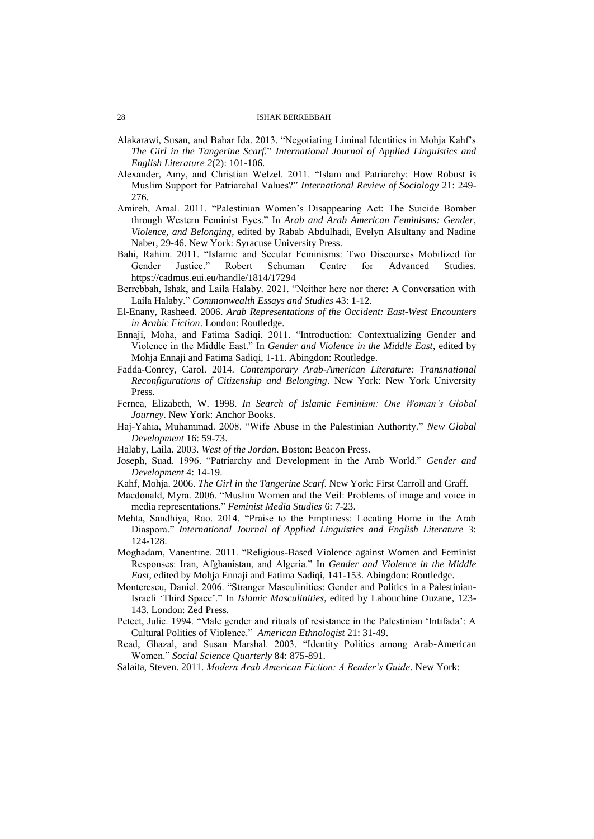#### 28 ISHAK BERREBBAH

- Alakarawi, Susan, and Bahar Ida. 2013. "Negotiating Liminal Identities in Mohja Kahf's *The Girl in the Tangerine Scarf.*" *International Journal of Applied Linguistics and English Literature 2*(2): 101-106.
- Alexander, Amy, and Christian Welzel. 2011. "Islam and Patriarchy: How Robust is Muslim Support for Patriarchal Values?" *International Review of Sociology* 21: 249- 276.
- Amireh, Amal. 2011. "Palestinian Women's Disappearing Act: The Suicide Bomber through Western Feminist Eyes." In *Arab and Arab American Feminisms: Gender, Violence, and Belonging*, edited by Rabab Abdulhadi, Evelyn Alsultany and Nadine Naber, 29-46. New York: Syracuse University Press.
- Bahi, Rahim. 2011. "Islamic and Secular Feminisms: Two Discourses Mobilized for Gender Justice." Robert Schuman Centre for Advanced Studies. https://cadmus.eui.eu/handle/1814/17294
- Berrebbah, Ishak, and Laila Halaby. 2021. "Neither here nor there: A Conversation with Laila Halaby." *Commonwealth Essays and Studies* 43: 1-12.
- El-Enany, Rasheed. 2006. *Arab Representations of the Occident: East-West Encounters in Arabic Fiction*. London: Routledge.
- Ennaji, Moha, and Fatima Sadiqi. 2011. "Introduction: Contextualizing Gender and Violence in the Middle East." In *Gender and Violence in the Middle East*, edited by Mohja Ennaji and Fatima Sadiqi, 1-11. Abingdon: Routledge.
- Fadda-Conrey, Carol. 2014. *Contemporary Arab-American Literature: Transnational Reconfigurations of Citizenship and Belonging*. New York: New York University Press.
- Fernea, Elizabeth, W. 1998. *In Search of Islamic Feminism: One Woman's Global Journey*. New York: Anchor Books.
- Haj-Yahia, Muhammad. 2008. "Wife Abuse in the Palestinian Authority." *New Global Development* 16: 59-73.
- Halaby, Laila. 2003. *West of the Jordan*. Boston: Beacon Press.
- Joseph, Suad. 1996. "Patriarchy and Development in the Arab World." *Gender and Development* 4: 14-19.
- Kahf, Mohja. 2006. *The Girl in the Tangerine Scarf*. New York: First Carroll and Graff.
- Macdonald, Myra. 2006. "Muslim Women and the Veil: Problems of image and voice in media representations." *Feminist Media Studies* 6: 7-23.
- Mehta, Sandhiya, Rao. 2014. "Praise to the Emptiness: Locating Home in the Arab Diaspora." *International Journal of Applied Linguistics and English Literature* 3: 124-128.
- Moghadam, Vanentine. 2011. "Religious-Based Violence against Women and Feminist Responses: Iran, Afghanistan, and Algeria." In *Gender and Violence in the Middle East*, edited by Mohja Ennaji and Fatima Sadiqi, 141-153. Abingdon: Routledge.
- Monterescu, Daniel. 2006. "Stranger Masculinities: Gender and Politics in a Palestinian-Israeli 'Third Space'." In *Islamic Masculinities*, edited by Lahouchine Ouzane, 123- 143. London: Zed Press.
- Peteet, Julie. 1994. "Male gender and rituals of resistance in the Palestinian 'Intifada': A Cultural Politics of Violence." *American Ethnologist* 21: 31-49.
- Read, Ghazal, and Susan Marshal. 2003. "Identity Politics among Arab-American Women." *Social Science Quarterly* 84: 875-891.
- Salaita, Steven. 2011. *Modern Arab American Fiction: A Reader's Guide*. New York: